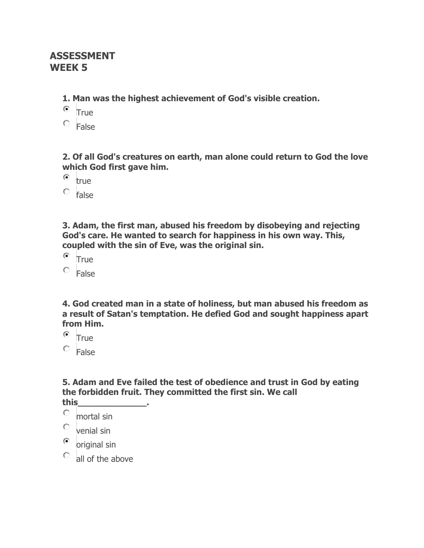## **ASSESSMENT WEEK 5**

**1. Man was the highest achievement of God's visible creation.**

- $\bullet$  True
- False

**2. Of all God's creatures on earth, man alone could return to God the love which God first gave him.**

 $\odot$ true

 $\circ$  false

**3. Adam, the first man, abused his freedom by disobeying and rejecting God's care. He wanted to search for happiness in his own way. This, coupled with the sin of Eve, was the original sin.**

 $\bullet$  True

False

**4. God created man in a state of holiness, but man abused his freedom as a result of Satan's temptation. He defied God and sought happiness apart from Him.**

 $^{\circ}$  True

 $C$  False

**5. Adam and Eve failed the test of obedience and trust in God by eating the forbidden fruit. They committed the first sin. We call this\_\_\_\_\_\_\_\_\_\_\_\_\_.**

- 0 mortal sin
- О. venial sin
- $\odot$ original sin
- all of the above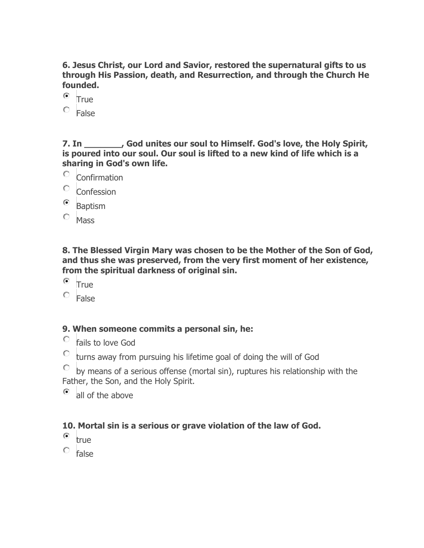**6. Jesus Christ, our Lord and Savior, restored the supernatural gifts to us through His Passion, death, and Resurrection, and through the Church He founded.**

- $\bullet$  True
- False

**7. In \_\_\_\_\_\_\_, God unites our soul to Himself. God's love, the Holy Spirit, is poured into our soul. Our soul is lifted to a new kind of life which is a sharing in God's own life.**

- О. Confirmation
- O. **Confession**
- $\odot$ Baptism
- $O$  Mass

**8. The Blessed Virgin Mary was chosen to be the Mother of the Son of God, and thus she was preserved, from the very first moment of her existence, from the spiritual darkness of original sin.**

- $\bullet$  True
- $\circ$  False

## **9. When someone commits a personal sin, he:**

- $\circ$  fails to love God
- $\degree$  turns away from pursuing his lifetime goal of doing the will of God
- $\mathbb{C}$ by means of a serious offense (mortal sin), ruptures his relationship with the Father, the Son, and the Holy Spirit.
- $\bullet$  all of the above

## **10. Mortal sin is a serious or grave violation of the law of God.**

- $\bullet$  true
- $C$  false